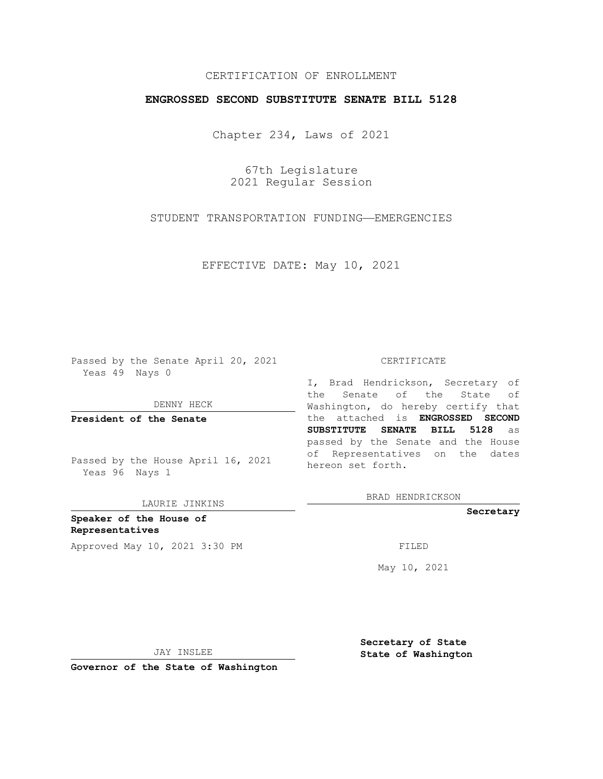## CERTIFICATION OF ENROLLMENT

## **ENGROSSED SECOND SUBSTITUTE SENATE BILL 5128**

Chapter 234, Laws of 2021

67th Legislature 2021 Regular Session

STUDENT TRANSPORTATION FUNDING—EMERGENCIES

EFFECTIVE DATE: May 10, 2021

Passed by the Senate April 20, 2021 Yeas 49 Nays 0

DENNY HECK

**President of the Senate**

Passed by the House April 16, 2021 Yeas 96 Nays 1

LAURIE JINKINS

**Speaker of the House of Representatives** Approved May 10, 2021 3:30 PM FILED

#### CERTIFICATE

I, Brad Hendrickson, Secretary of the Senate of the State of Washington, do hereby certify that the attached is **ENGROSSED SECOND SUBSTITUTE SENATE BILL 5128** as passed by the Senate and the House of Representatives on the dates hereon set forth.

BRAD HENDRICKSON

**Secretary**

May 10, 2021

JAY INSLEE

**Secretary of State State of Washington**

**Governor of the State of Washington**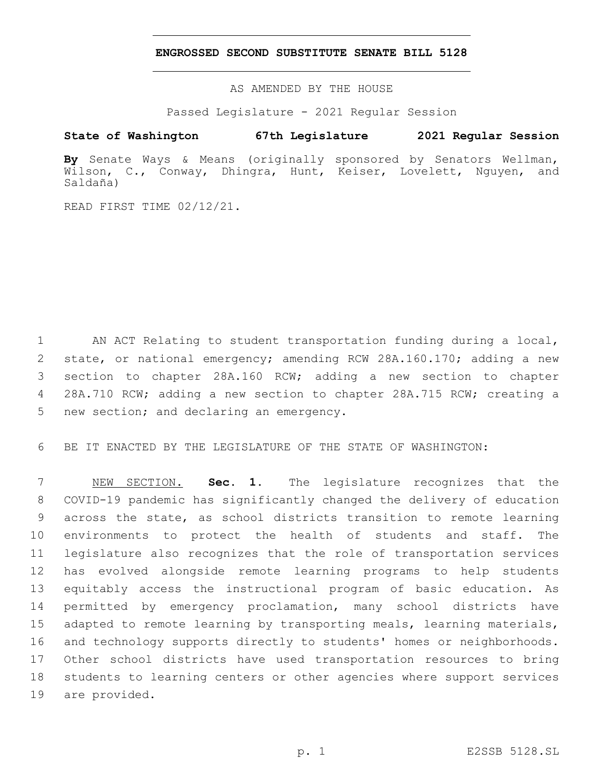### **ENGROSSED SECOND SUBSTITUTE SENATE BILL 5128**

AS AMENDED BY THE HOUSE

Passed Legislature - 2021 Regular Session

# **State of Washington 67th Legislature 2021 Regular Session**

**By** Senate Ways & Means (originally sponsored by Senators Wellman, Wilson, C., Conway, Dhingra, Hunt, Keiser, Lovelett, Nguyen, and Saldaña)

READ FIRST TIME 02/12/21.

 AN ACT Relating to student transportation funding during a local, state, or national emergency; amending RCW 28A.160.170; adding a new section to chapter 28A.160 RCW; adding a new section to chapter 28A.710 RCW; adding a new section to chapter 28A.715 RCW; creating a 5 new section; and declaring an emergency.

BE IT ENACTED BY THE LEGISLATURE OF THE STATE OF WASHINGTON:

 NEW SECTION. **Sec. 1.** The legislature recognizes that the COVID-19 pandemic has significantly changed the delivery of education across the state, as school districts transition to remote learning environments to protect the health of students and staff. The legislature also recognizes that the role of transportation services has evolved alongside remote learning programs to help students equitably access the instructional program of basic education. As permitted by emergency proclamation, many school districts have adapted to remote learning by transporting meals, learning materials, and technology supports directly to students' homes or neighborhoods. Other school districts have used transportation resources to bring students to learning centers or other agencies where support services are provided.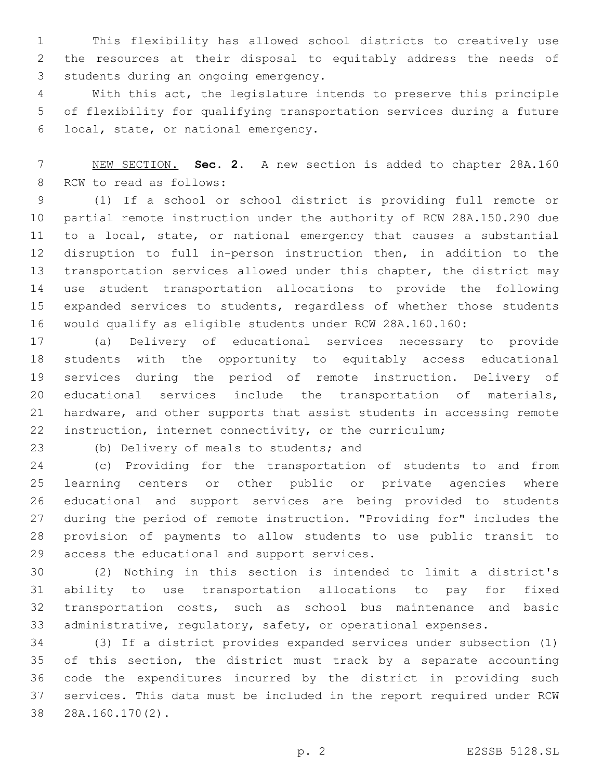This flexibility has allowed school districts to creatively use the resources at their disposal to equitably address the needs of 3 students during an ongoing emergency.

 With this act, the legislature intends to preserve this principle of flexibility for qualifying transportation services during a future local, state, or national emergency.6

 NEW SECTION. **Sec. 2.** A new section is added to chapter 28A.160 8 RCW to read as follows:

 (1) If a school or school district is providing full remote or partial remote instruction under the authority of RCW 28A.150.290 due to a local, state, or national emergency that causes a substantial disruption to full in-person instruction then, in addition to the transportation services allowed under this chapter, the district may use student transportation allocations to provide the following expanded services to students, regardless of whether those students would qualify as eligible students under RCW 28A.160.160:

 (a) Delivery of educational services necessary to provide students with the opportunity to equitably access educational services during the period of remote instruction. Delivery of educational services include the transportation of materials, hardware, and other supports that assist students in accessing remote instruction, internet connectivity, or the curriculum;

(b) Delivery of meals to students; and

 (c) Providing for the transportation of students to and from learning centers or other public or private agencies where educational and support services are being provided to students during the period of remote instruction. "Providing for" includes the provision of payments to allow students to use public transit to 29 access the educational and support services.

 (2) Nothing in this section is intended to limit a district's ability to use transportation allocations to pay for fixed transportation costs, such as school bus maintenance and basic administrative, regulatory, safety, or operational expenses.

 (3) If a district provides expanded services under subsection (1) of this section, the district must track by a separate accounting code the expenditures incurred by the district in providing such services. This data must be included in the report required under RCW 28A.160.170(2).38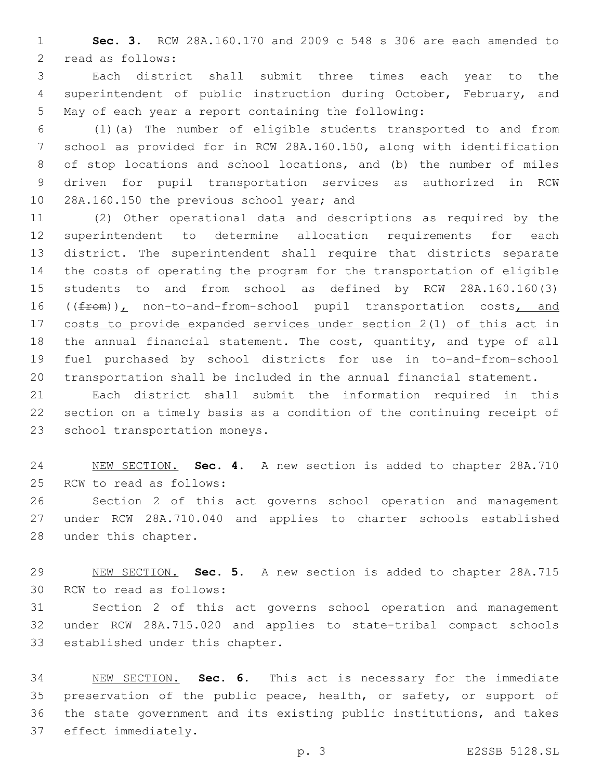**Sec. 3.** RCW 28A.160.170 and 2009 c 548 s 306 are each amended to 2 read as follows:

 Each district shall submit three times each year to the superintendent of public instruction during October, February, and May of each year a report containing the following:

 (1)(a) The number of eligible students transported to and from school as provided for in RCW 28A.160.150, along with identification of stop locations and school locations, and (b) the number of miles driven for pupil transportation services as authorized in RCW 10 28A.160.150 the previous school year; and

 (2) Other operational data and descriptions as required by the superintendent to determine allocation requirements for each district. The superintendent shall require that districts separate the costs of operating the program for the transportation of eligible students to and from school as defined by RCW 28A.160.160(3) 16 ((from)), non-to-and-from-school pupil transportation costs, and costs to provide expanded services under section 2(1) of this act in the annual financial statement. The cost, quantity, and type of all fuel purchased by school districts for use in to-and-from-school transportation shall be included in the annual financial statement.

 Each district shall submit the information required in this section on a timely basis as a condition of the continuing receipt of 23 school transportation moneys.

 NEW SECTION. **Sec. 4.** A new section is added to chapter 28A.710 25 RCW to read as follows:

 Section 2 of this act governs school operation and management under RCW 28A.710.040 and applies to charter schools established 28 under this chapter.

 NEW SECTION. **Sec. 5.** A new section is added to chapter 28A.715 30 RCW to read as follows:

 Section 2 of this act governs school operation and management under RCW 28A.715.020 and applies to state-tribal compact schools 33 established under this chapter.

 NEW SECTION. **Sec. 6.** This act is necessary for the immediate 35 preservation of the public peace, health, or safety, or support of the state government and its existing public institutions, and takes effect immediately.